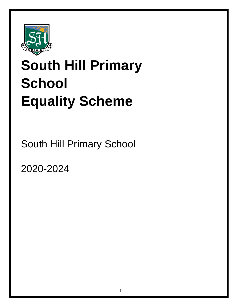

# **South Hill Primary School Equality Scheme**

South Hill Primary School

**Scheme** 2020-2024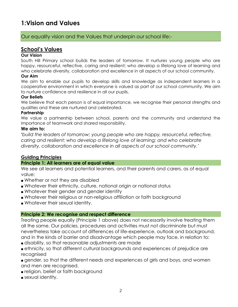# **1:Vision and Values**

# Our equality vision and the Values that underpin our school life:-

# **School's Values**

### **Our Vision**

South Hill Primary school builds the leaders of tomorrow. It nurtures young people who are happy, resourceful, reflective, caring and resilient; who develop a lifelong love of learning and who celebrate diversity, collaboration and excellence in all aspects of our school community.

#### **Our Aim**

We aim to enable our pupils to develop skills and knowledge as independent learners in a cooperative environment in which everyone is valued as part of our school community. We aim to nurture confidence and resilience in all our pupils.

#### **Our Beliefs**

We believe that each person is of equal importance, we recognise their personal strengths and qualities and these are nurtured and celebrated.

#### **Partnership**

We value a partnership between school, parents and the community and understand the importance of teamwork and shared responsibility.

#### **We aim to:**

**'***build the leaders of tomorrow; young people who are happy, resourceful, reflective, caring and resilient; who develop a lifelong love of learning; and who celebrate diversity, collaboration and excellence in all aspects of our school community.'*

### **Guiding Principles**

### **Principle 1: All learners are of equal value**

We see all learners and potential learners, and their parents and carers, as of equal value:

- Whether or not they are disabled
- Whatever their ethnicity, culture, national origin or national status
- Whatever their gender and gender identity
- Whatever their religious or non-religious affiliation or faith background
- Whatever their sexual identity.

### **Principle 2: We recognise and respect difference**

Treating people equally (Principle 1 above) does not necessarily involve treating them all the same. Our policies, procedures and activities must not discriminate but must nevertheless take account of differences of life-experience, outlook and background, and in the kinds of barrier and disadvantage which people may face, in relation to:

- disability, so that reasonable adjustments are made
- ethnicity, so that different cultural backgrounds and experiences of prejudice are recognised

■ gender, so that the different needs and experiences of girls and boys, and women and men are recognised.

- religion, belief or faith background
- sexual identity.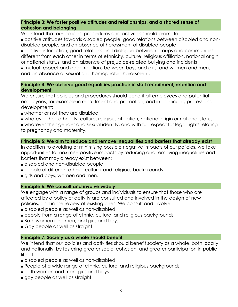### **Principle 3: We foster positive attitudes and relationships, and a shared sense of cohesion and belonging**

We intend that our policies, procedures and activities should promote:

■ positive attitudes towards disabled people, good relations between disabled and nondisabled people, and an absence of harassment of disabled people

■ positive interaction, good relations and dialogue between groups and communities different from each other in terms of ethnicity, culture, religious affiliation, national origin or national status, and an absence of prejudice-related bullying and incidents

■ mutual respect and good relations between boys and girls, and women and men, and an absence of sexual and homophobic harassment.

### **Principle 4: We observe good equalities practice in staff recruitment, retention and development**

We ensure that policies and procedures should benefit all employees and potential employees, for example in recruitment and promotion, and in continuing professional development:

- whether or not they are disabled
- whatever their ethnicity, culture, religious affiliation, national origin or national status

■ whatever their gender and sexual identity, and with full respect for legal rights relating to pregnancy and maternity.

### **Principle 5: We aim to reduce and remove inequalities and barriers that already exist**

In addition to avoiding or minimising possible negative impacts of our policies, we take opportunities to maximise positive impacts by reducing and removing inequalities and barriers that may already exist between:

- disabled and non-disabled people
- people of different ethnic, cultural and religious backgrounds
- girls and boys, women and men.

### **Principle 6: We consult and involve widely**

We engage with a range of groups and individuals to ensure that those who are affected by a policy or activity are consulted and involved in the design of new policies, and in the review of existing ones. We consult and involve:

- disabled people as well as non-disabled
- people from a range of ethnic, cultural and religious backgrounds
- Both women and men, and girls and boys.
- Gay people as well as straight.

### **Principle 7: Society as a whole should benefit**

We intend that our policies and activities should benefit society as a whole, both locally and nationally, by fostering greater social cohesion, and greater participation in public life of:

- disabled people as well as non-disabled
- People of a wide range of ethnic, cultural and religious backgrounds
- both women and men, girls and boys
- gay people as well as straight.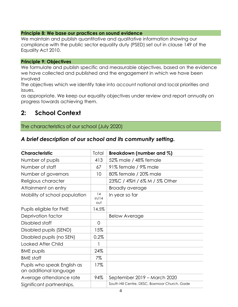### **Principle 8: We base our practices on sound evidence**

We maintain and publish quantitative and qualitative information showing our compliance with the public sector equality duty (PSED) set out in clause 149 of the Equality Act 2010.

### **Principle 9: Objectives**

We formulate and publish specific and measurable objectives, based on the evidence we have collected and published and the engagement in which we have been involved

The objectives which we identify take into account national and local priorities and issues,

as appropriate. We keep our equality objectives under review and report annually on progress towards achieving them.

# **2: School Context**

# The characteristics of our school (July 2020)

# *A brief description of our school and its community setting.*

| <b>Characteristic</b>                                 | Total              | Breakdown (number and %)                      |
|-------------------------------------------------------|--------------------|-----------------------------------------------|
| Number of pupils                                      | 413                | 52% male / 48% female                         |
| Number of staff                                       | 67                 | 91% female / 9% male                          |
| Number of governors                                   | 10                 | 80% female / 20% male                         |
| Religious character                                   |                    | 23%C / 4%H / 6% M / 5% Other                  |
| Attainment on entry                                   |                    | <b>Broadly average</b>                        |
| Mobility of school population                         | 14<br>in/14<br>out | In year so far                                |
| Pupils eligible for FME                               | 14.5%              |                                               |
| Deprivation factor                                    |                    | <b>Below Average</b>                          |
| Disabled staff                                        | $\overline{0}$     |                                               |
| Disabled pupils (SEND)                                | 15%                |                                               |
| Disabled pupils (no SEN)                              | 0.2%               |                                               |
| <b>Looked After Child</b>                             |                    |                                               |
| <b>BME</b> pupils                                     | 24%                |                                               |
| <b>BME</b> staff                                      | 7%                 |                                               |
| Pupils who speak English as<br>an additional language | 17%                |                                               |
| Average attendance rate                               | 94%                | September 2019 – March 2020                   |
| Significant partnerships,                             |                    | South Hill Centre, DESC, Boxmoor Church, Gade |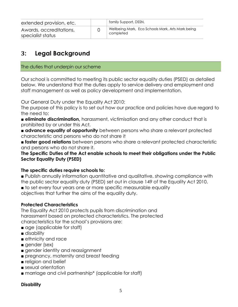| extended provision, etc.                     | family Support, DSSN,                                          |
|----------------------------------------------|----------------------------------------------------------------|
| Awards, accreditations,<br>specialist status | Wellbeing Mark, Eco Schools Mark, Arts Mark being<br>completed |

# **3: Legal Background**

### The duties that underpin our scheme

Our school is committed to meeting its public sector equality duties (PSED) as detailed below. We understand that the duties apply to service delivery and employment and staff management as well as policy development and implementation.

Our General Duty under the Equality Act 2010:

The purpose of this policy is to set out how our practice and policies have due regard to the need to:

■ **eliminate discrimination,** harassment, victimisation and any other conduct that is prohibited by or under this Act.

■ **advance equality of opportunity** between persons who share a relevant protected characteristic and persons who do not share it

■ **foster good relations** between persons who share a relevant protected characteristic and persons who do not share it.

**The Specific Duties of the Act enable schools to meet their obligations under the Public Sector Equality Duty (PSED)**

# **The specific duties require schools to:**

■ Publish annually information quantitative and qualitative, showing compliance with the public sector equality duty (PSED) set out in clause 149 of the Equality Act 2010.

■ to set every four years one or more specific measurable equality

objectives that further the aims of the equality duty.

# **Protected Characteristics**

The Equality Act 2010 protects pupils from discrimination and harassment based on protected characteristics. The protected characteristics for the school's provisions are:

- age (applicable for staff)
- disability
- ethnicity and race
- gender (sex)
- gender identity and reassignment
- pregnancy, maternity and breast feeding
- religion and belief
- sexual orientation
- marriage and civil partnership<sup>\*</sup> (applicable for staff)

### **Disability**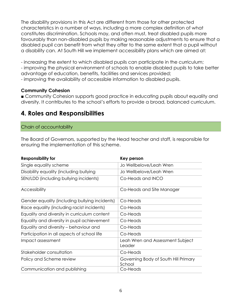The disability provisions in this Act are different from those for other protected characteristics in a number of ways, including a more complex definition of what constitutes discrimination. Schools may, and often must, treat disabled pupils more favourably than non-disabled pupils by making reasonable adjustments to ensure that a disabled pupil can benefit from what they offer to the same extent that a pupil without a disability can. At South Hill we implement accessibility plans which are aimed at:

- increasing the extent to which disabled pupils can participate in the curriculum;

- improving the physical environment of schools to enable disabled pupils to take better advantage of education, benefits, facilities and services provided;

- improving the availability of accessible information to disabled pupils.

# **Community Cohesion**

■ Community Cohesion supports good practice in educating pupils about equality and diversity. It contributes to the school's efforts to provide a broad, balanced curriculum.

# **4. Roles and Responsibilities**

### Chain of accountability

The Board of Governors, supported by the Head teacher and staff, is responsible for ensuring the implementation of this scheme.

| <b>Responsibility for</b>                      | Key person                                     |
|------------------------------------------------|------------------------------------------------|
| Single equality scheme                         | Jo Wellbelove/Leah Wren                        |
| Disability equality (including bullying        | Jo Wellbelove/Leah Wren                        |
| SEN/LDD (including bullying incidents)         | Co-Heads and INCO                              |
| Accessibility                                  | Co-Heads and Site Manager                      |
| Gender equality (including bullying incidents) | Co-Heads                                       |
| Race equality (including racist incidents)     | Co-Heads                                       |
| Equality and diversity in curriculum content   | Co-Heads                                       |
| Equality and diversity in pupil achievement    | Co-Heads                                       |
| Equality and diversity – behaviour and         | Co-Heads                                       |
| Participation in all aspects of school life    | Co-Heads                                       |
| Impact assessment                              | Leah Wren and Assessment Subject<br>Leader     |
| Stakeholder consultation                       | Co-Heads                                       |
| Policy and Scheme review                       | Governing Body of South Hill Primary<br>School |
| Communication and publishing                   | Co-Heads                                       |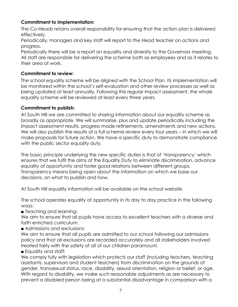# **Commitment to implementation:**

The Co-Heads retains overall responsibility for ensuring that the action plan is delivered effectively.

Periodically, managers and key staff will report to the Head teacher on actions and progress.

Periodically there will be a report on equality and diversity to the Governors meeting. All staff are responsible for delivering the scheme both as employees and as it relates to their area of work.

# **Commitment to review:**

The school equality scheme will be aligned with the School Plan. Its implementation will be monitored within the school's self-evaluation and other review processes as well as being updated at least annually. Following this regular impact assessment, the whole equality scheme will be reviewed at least every three years.

# **Commitment to publish:**

At South Hill we are committed to sharing information about our equality scheme as broadly as appropriate. We will summarise, plus and update periodically including the impact assessment results, progress made refinements, amendments and new actions. We will also publish the results of a full scheme review every four years – in which we will make proposals for future action. We have a specific duty to demonstrate compliance with the public sector equality duty.

The basic principle underlying the new specific duties is that of 'transparency' which ensures that we fulfil the aims of the Equality Duty to eliminate discrimination, advance equality of opportunity and foster good relations between different groups. Transparency means being open about the information on which we base our decisions, on what to publish and how.

At South Hill equality information will be available on the school website.

The school operates equality of opportunity in its day to day practice in the following ways:

■ Teaching and learning:

We aim to ensure that all pupils have access to excellent teachers with a diverse and faith enriched curriculum.

■ Admissions and exclusions:

We aim to ensure that all pupils are admitted to our school following our admissions policy and that all exclusions are recorded accurately and all stakeholders involved treated fairly with the safety of all of our children paramount.

■ Equality and staff:

We comply fully with legislation which protects our staff (including teachers, teaching assistants, supervisors and student teachers) from discrimination on the grounds of gender, transsexual status, race, disability, sexual orientation, religion or belief, or age. With regard to disability, we make such reasonable adjustments as are necessary to prevent a disabled person being at a substantial disadvantage in comparison with a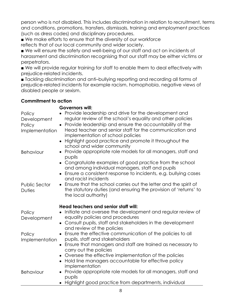person who is not disabled. This includes discrimination in relation to recruitment, terms and conditions, promotions, transfers, dismissals, training and employment practices (such as dress codes) and disciplinary procedures.

■ We make efforts to ensure that the diversity of our workforce reflects that of our local community and wider society.

■ We will ensure the safety and well-being of our staff and act on incidents of harassment and discrimination recognising that our staff may be either victims or perpetrators.

■ We will provide regular training for staff to enable them to deal effectively with prejudice-related incidents.

■ Tackling discrimination and anti–bullying reporting and recording all forms of prejudice-related incidents for example racism, homophobia, negative views of disabled people or sexism.

# **Commitment to action**

#### **Governors will: Policy Development** • Provide leadership and drive for the development and regular review of the school's equality and other policies **Policy** Implementation ● Provide leadership and ensure the accountability of the Head teacher and senior staff for the communication and implementation of school policies • Highlight good practice and promote it throughout the school and wider community Behaviour • Provide appropriate role models for all managers, staff and pupils • Congratulate examples of good practice from the school and among individual managers, staff and pupils • Ensure a consistent response to incidents, e.g. bullying cases and racist incidents Public Sector **Duties** • Ensure that the school carries out the letter and the spirit of the statutory duties (and ensuring the provision of 'returns' to the local authority) **Head teachers and senior staff will: Policy** Development • Initiate and oversee the development and regular review of equality policies and procedures • Consult pupils, staff and stakeholders in the development and review of the policies **Policy** Implementation • Ensure the effective communication of the policies to all pupils, staff and stakeholders • Ensure that managers and staff are trained as necessary to carry out the policies • Oversee the effective implementation of the policies • Hold line managers accountable for effective policy implementation Behaviour ● Provide appropriate role models for all managers, staff and pupils • Highlight good practice from departments, individual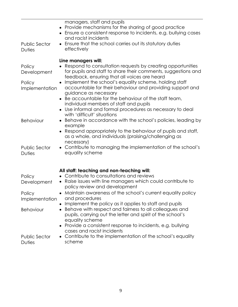|                                                   | managers, staff and pupils<br>Provide mechanisms for the sharing of good practice<br>Ensure a consistent response to incidents, e.g. bullying cases                                                                                                                                                                                                                                                                                                                                                             |
|---------------------------------------------------|-----------------------------------------------------------------------------------------------------------------------------------------------------------------------------------------------------------------------------------------------------------------------------------------------------------------------------------------------------------------------------------------------------------------------------------------------------------------------------------------------------------------|
| <b>Public Sector</b><br><b>Duties</b>             | and racist incidents<br>Ensure that the school carries out its statutory duties<br>effectively                                                                                                                                                                                                                                                                                                                                                                                                                  |
| Policy<br>Development<br>Policy<br>Implementation | Line managers will:<br>Respond to consultation requests by creating opportunities<br>for pupils and staff to share their comments, suggestions and<br>feedback, ensuring that all voices are heard<br>Implement the school's equality scheme, holding staff<br>accountable for their behaviour and providing support and<br>guidance as necessary<br>• Be accountable for the behaviour of the staff team,<br>individual members of staff and pupils<br>Use informal and formal procedures as necessary to deal |
| Behaviour                                         | with 'difficult' situations<br>Behave in accordance with the school's policies, leading by<br>example<br>Respond appropriately to the behaviour of pupils and staff,<br>as a whole, and individuals (praising/challenging as                                                                                                                                                                                                                                                                                    |
| <b>Public Sector</b><br><b>Duties</b>             | necessary)<br>Contribute to managing the implementation of the school's<br>$\bullet$<br>equality scheme                                                                                                                                                                                                                                                                                                                                                                                                         |
| Policy<br>Development                             | All staff: teaching and non-teaching will:<br>• Contribute to consultations and reviews<br>• Raise issues with line managers which could contribute to<br>policy review and development                                                                                                                                                                                                                                                                                                                         |
| Policy<br>Implementation                          | Maintain awareness of the school's current equality policy<br>and procedures<br>Implement the policy as it applies to staff and pupils                                                                                                                                                                                                                                                                                                                                                                          |
| Behaviour                                         | Behave with respect and fairness to all colleagues and<br>pupils, carrying out the letter and spirit of the school's<br>equality scheme<br>Provide a consistent response to incidents, e.g. bullying                                                                                                                                                                                                                                                                                                            |
| <b>Public Sector</b><br>Duties                    | cases and racist incidents<br>• Contribute to the implementation of the school's equality<br>scheme                                                                                                                                                                                                                                                                                                                                                                                                             |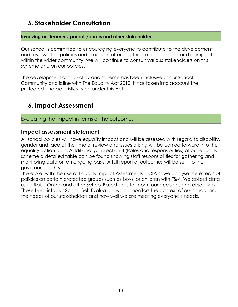# **5. Stakeholder Consultation**

# **Involving our learners, parents/carers and other stakeholders**

Our school is committed to encouraging everyone to contribute to the development and review of all policies and practices affecting the life of the school and its impact within the wider community. We will continue to consult various stakeholders on this scheme and on our policies.

The development of this Policy and scheme has been inclusive of our School Community and is line with The Equality Act 2010. It has taken into account the protected characteristics listed under this Act.

# **6. Impact Assessment**

# Evaluating the impact in terms of the outcomes

# **Impact assessment statement**

All school policies will have equality impact and will be assessed with regard to disability, gender and race at the time of review and issues arising will be carried forward into the equality action plan. Additionally, in Section 4 (Roles and responsibilities) of our equality scheme a detailed table can be found showing staff responsibilities for gathering and monitoring data on an ongoing basis. A full report of outcomes will be sent to the governors each year.

Therefore, with the use of Equality Impact Assessments (EQIA's) we analyse the effects of policies on certain protected groups such as boys, or children with FSM. We collect data using Raise Online and other School Based Logs to inform our decisions and objectives. These feed into our School Self Evaluation which monitors the context of our school and the needs of our stakeholders and how well we are meeting everyone's needs.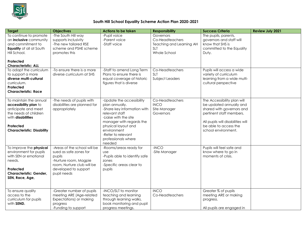

### **South Hill School Equality Scheme Action Plan 2020-2021**

| <b>Target</b>                                                                                                                                                          | <b>Objectives</b>                                                                                                                                              | <b>Actions to be taken</b>                                                                                                                                                                                                                     | <b>Responsibility</b>                                                           | <b>Success Criteria</b>                                                                                                                                                                              | <b>Review July 2021</b> |
|------------------------------------------------------------------------------------------------------------------------------------------------------------------------|----------------------------------------------------------------------------------------------------------------------------------------------------------------|------------------------------------------------------------------------------------------------------------------------------------------------------------------------------------------------------------------------------------------------|---------------------------------------------------------------------------------|------------------------------------------------------------------------------------------------------------------------------------------------------------------------------------------------------|-------------------------|
| To continue to promote<br>an <b>inclusive</b> community<br>and commitment to<br>Equality of all at South<br>Hill School.<br>Protected<br><b>Characteristic: ALL</b>    | -The South Hill way<br>supports inclusivity<br>-The new tailored RSE<br>scheme and PSHE scheme<br>promotes this                                                | -Pupil voice<br>-Parent voice<br>-Staff voice                                                                                                                                                                                                  | Governors<br>Co-Headteachers<br>Teaching and Learning AH<br>SLT<br>Whole School | The pupils, parents,<br>governors and staff will<br>know that SHS is<br>committed to the Equality<br>Duty.                                                                                           |                         |
| To adapt the curriculum<br>to support a more<br>diverse multi-cultural<br>curriculum.<br>Protected<br><b>Characteristic: Race</b>                                      | -To ensure there is a more<br>diverse curriculum at SHS                                                                                                        | -Staff to amend Long Term<br>Plans to ensure there is<br>equal coverage of historic<br>figures that is diverse                                                                                                                                 | Co-Headteachers<br><b>SLT</b><br>Subject Leaders                                | Pupils will access a wide<br>variety of curriculum<br>learning from a wide multi-<br>cultural perspective                                                                                            |                         |
| To maintain the annual<br>accessibility plan to<br>anticipate and meet<br>the needs of children<br>with disabilities<br>Protected<br><b>Characteristic: Disability</b> | -The needs of pupils with<br>disabilities are planned for<br>appropriately                                                                                     | -Update the accessibility<br>plan annually.<br>-Share key information with<br>relevant staff<br>-Liaise with the site<br>manager with regards the<br>physical layout and<br>environment<br>-Refer to relevant<br>professionals where<br>needed | Co-Headteachers<br><b>INCO</b><br>Site Manager<br>Governors                     | The Accessibility plan will<br>be updated annually and<br>shared with governors and<br>pertinent staff members.<br>All pupils will disabilities will<br>be able to access the<br>school environment. |                         |
| To improve the <b>physical</b><br>environment for pupils<br>with SEN or emotional<br>needs.<br>Protected<br><b>Characteristic: Gender.</b><br>SEN, Race, Age,          | -Areas of the school will be<br>sued as safe zones for<br>pupils<br>-Nurture room, Magpie<br>room, Nurture club will be<br>developed to support<br>pupil needs | -Rooms/areas ready for<br><b>use</b><br>-Pupils able to identify safe<br>zones<br>-Specific areas clear to<br>pupils                                                                                                                           | $-INCO$<br>-Site Manager                                                        | Pupils will feel safe and<br>know where to go in<br>moments of crisis.                                                                                                                               |                         |
| To ensure quality<br>access to the<br>curriculum for pupils<br>with SEND.                                                                                              | -Greater number of pupils<br>meeting ARE (Age-related<br>Expectations) or making<br>progress<br>-Funding to support                                            | -INCO/SLT to monitor<br>teaching and learning<br>through learning walks,<br>book monitoring and pupil<br>progress meetings.                                                                                                                    | <b>INCO</b><br>Co-Headteachers                                                  | Greater % of pupils<br>meeting ARE or making<br>progress.<br>All pupils are engaged in                                                                                                               |                         |